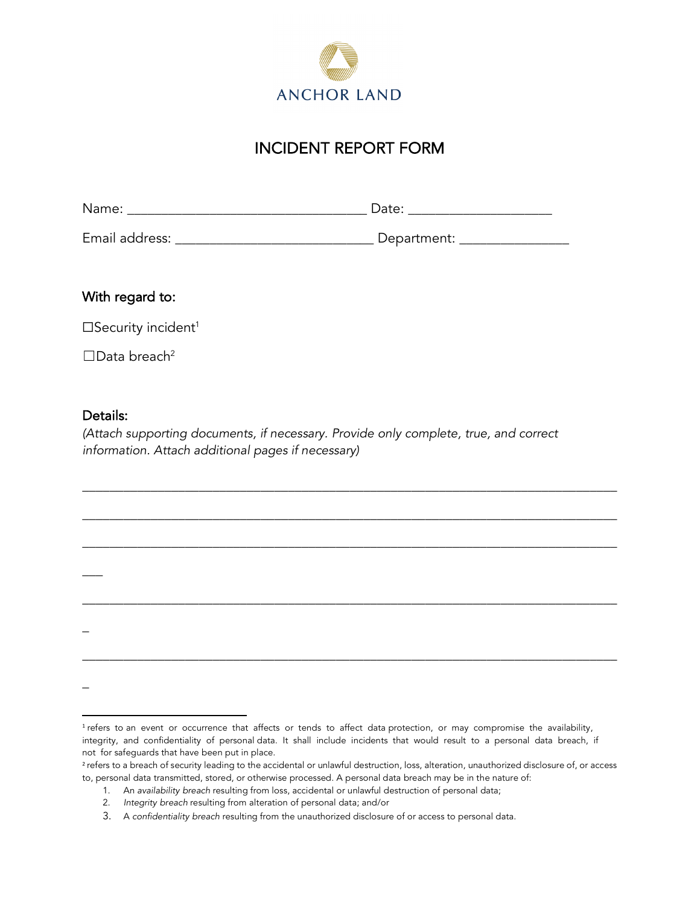

## INCIDENT REPORT FORM

| Name:          | Date:       |
|----------------|-------------|
| Email address: | Department: |

With regard to:

□Security incident<sup>1</sup>

 $\square$ Data breach<sup>2</sup>

## Details:

\_\_\_

\_

\_

*(Attach supporting documents, if necessary. Provide only complete, true, and correct information. Attach additional pages if necessary)*

\_\_\_\_\_\_\_\_\_\_\_\_\_\_\_\_\_\_\_\_\_\_\_\_\_\_\_\_\_\_\_\_\_\_\_\_\_\_\_\_\_\_\_\_\_\_\_\_\_\_\_\_\_\_\_\_\_\_\_\_\_\_\_\_\_\_\_\_\_\_\_\_\_\_\_\_\_\_

\_\_\_\_\_\_\_\_\_\_\_\_\_\_\_\_\_\_\_\_\_\_\_\_\_\_\_\_\_\_\_\_\_\_\_\_\_\_\_\_\_\_\_\_\_\_\_\_\_\_\_\_\_\_\_\_\_\_\_\_\_\_\_\_\_\_\_\_\_\_\_\_\_\_\_\_\_\_

\_\_\_\_\_\_\_\_\_\_\_\_\_\_\_\_\_\_\_\_\_\_\_\_\_\_\_\_\_\_\_\_\_\_\_\_\_\_\_\_\_\_\_\_\_\_\_\_\_\_\_\_\_\_\_\_\_\_\_\_\_\_\_\_\_\_\_\_\_\_\_\_\_\_\_\_\_\_

\_\_\_\_\_\_\_\_\_\_\_\_\_\_\_\_\_\_\_\_\_\_\_\_\_\_\_\_\_\_\_\_\_\_\_\_\_\_\_\_\_\_\_\_\_\_\_\_\_\_\_\_\_\_\_\_\_\_\_\_\_\_\_\_\_\_\_\_\_\_\_\_\_\_\_\_\_\_

\_\_\_\_\_\_\_\_\_\_\_\_\_\_\_\_\_\_\_\_\_\_\_\_\_\_\_\_\_\_\_\_\_\_\_\_\_\_\_\_\_\_\_\_\_\_\_\_\_\_\_\_\_\_\_\_\_\_\_\_\_\_\_\_\_\_\_\_\_\_\_\_\_\_\_\_\_\_

<sup>&</sup>lt;sup>1</sup> refers to an event or occurrence that affects or tends to affect data protection, or may compromise the availability, integrity, and confidentiality of personal data. It shall include incidents that would result to a personal data breach, if not for safeguards that have been put in place.

<sup>&</sup>lt;sup>2</sup> refers to a breach of security leading to the accidental or unlawful destruction, loss, alteration, unauthorized disclosure of, or access to, personal data transmitted, stored, or otherwise processed. A personal data breach may be in the nature of:

<sup>1.</sup> An *availability breach* resulting from loss, accidental or unlawful destruction of personal data;

<sup>2.</sup> *Integrity breach* resulting from alteration of personal data; and/or

<sup>3.</sup> A *confidentiality breach* resulting from the unauthorized disclosure of or access to personal data.